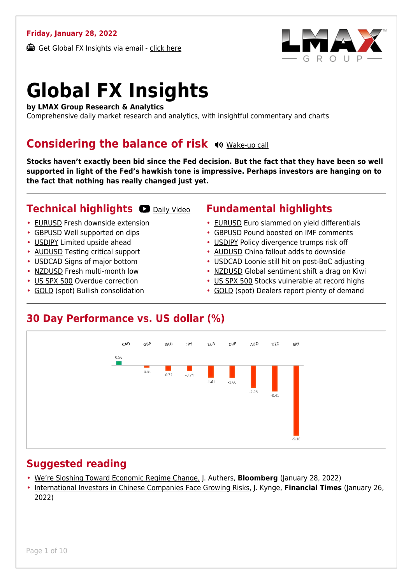#### **Friday, January 28, 2022**

Get Global FX Insights via email - [click here](https://www.lmax.com/blog/global-fx-insights/sign-up/?src=gfxipdf)



# **Global FX Insights**

**by LMAX Group Research & Analytics**

Comprehensive daily market research and analytics, with insightful commentary and charts

#### **Considering the balance of risk**  $\otimes$  **[Wake-up call](https://www.lmax.com/blog/global-fx-insights/2022/01/28/considering-the-balance-of-risk/?utm_source=GlobalFXInsights-Newsletter&utm_medium=Email&utm_campaign=GlobalFXInsights&audio=play#wakeup-52541)**

**Stocks haven't exactly been bid since the Fed decision. But the fact that they have been so well supported in light of the Fed's hawkish tone is impressive. Perhaps investors are hanging on to the fact that nothing has really changed just yet.**

#### **Technical highlights @ [Daily Video](https://www.lmax.com/blog/global-fx-insights/2022/01/28/considering-the-balance-of-risk/?utm_source=GlobalFXInsights-Newsletter&utm_medium=Email&utm_campaign=GlobalFXInsights&popup=watch#charttalk-52541)**

- [EURUSD](#page-1-0) Fresh downside extension
- [GBPUSD](#page-2-0) Well supported on dips
- [USDJPY](#page-3-0) Limited upside ahead
- [AUDUSD](#page-4-0) Testing critical support
- [USDCAD](#page-5-0) Signs of major bottom
- [NZDUSD](#page-6-0) Fresh multi-month low
- [US SPX 500](#page-7-0) Overdue correction
- [GOLD](#page-8-0) (spot) Bullish consolidation

#### **Fundamental highlights**

- [EURUSD](#page-1-1) Euro slammed on yield differentials
- [GBPUSD](#page-2-1) Pound boosted on IMF comments
- [USDJPY](#page-3-1) Policy divergence trumps risk off
- [AUDUSD](#page-4-1) China fallout adds to downside
- [USDCAD](#page-5-1) Loonie still hit on post-BoC adjusting
- [NZDUSD](#page-6-1) Global sentiment shift a drag on Kiwi
- [US SPX 500](#page-7-1) Stocks vulnerable at record highs
- [GOLD](#page-8-1) (spot) Dealers report plenty of demand

#### **30 Day Performance vs. US dollar (%)**



#### **Suggested reading**

- [We're Sloshing Toward Economic Regime Change,](https://www.lmax.com/blog/global-fx-insights/2022/01/28/considering-the-balance-of-risk/?read=https://www.bloomberg.com/opinion/articles/2022-01-28/we-re-sloshing-toward-economic-regime-change-as-inflation-brings-displacements?srnd=opinion-markets) J. Authers, **Bloomberg** (January 28, 2022)
- [International Investors in Chinese Companies Face Growing Risks,](https://www.lmax.com/blog/global-fx-insights/2022/01/28/considering-the-balance-of-risk/?read=https://www.ft.com/video/4bcf73fe-0046-4e98-b8b6-c5f976d21820?playlist-name=latest&playlist-offset=0) J. Kynge, **Financial Times** (January 26, 2022)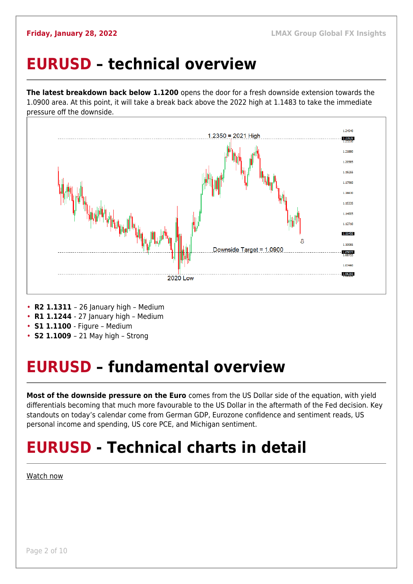### <span id="page-1-0"></span>**EURUSD – technical overview**

**The latest breakdown back below 1.1200** opens the door for a fresh downside extension towards the 1.0900 area. At this point, it will take a break back above the 2022 high at 1.1483 to take the immediate pressure off the downside.



- **R2 1.1311**  26 January high Medium
- **R1 1.1244**  27 January high Medium
- **S1 1.1100**  Figure Medium
- **S2 1.1009**  21 May high Strong

## <span id="page-1-1"></span>**EURUSD – fundamental overview**

**Most of the downside pressure on the Euro** comes from the US Dollar side of the equation, with yield differentials becoming that much more favourable to the US Dollar in the aftermath of the Fed decision. Key standouts on today's calendar come from German GDP, Eurozone confidence and sentiment reads, US personal income and spending, US core PCE, and Michigan sentiment.

## **EURUSD - Technical charts in detail**

[Watch now](https://youtu.be/I4jItPgTlpE)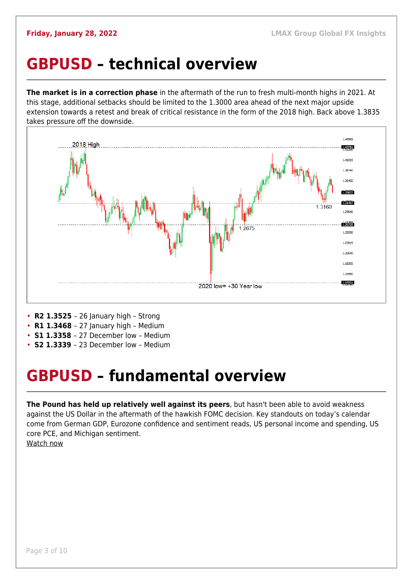### <span id="page-2-0"></span>**GBPUSD – technical overview**

**The market is in a correction phase** in the aftermath of the run to fresh multi-month highs in 2021. At this stage, additional setbacks should be limited to the 1.3000 area ahead of the next major upside extension towards a retest and break of critical resistance in the form of the 2018 high. Back above 1.3835 takes pressure off the downside.



- **R2 1.3525**  26 January high Strong
- **R1 1.3468**  27 January high Medium
- **S1 1.3358**  27 December low Medium
- **S2 1.3339**  23 December low Medium

### <span id="page-2-1"></span>**GBPUSD – fundamental overview**

**The Pound has held up relatively well against its peers**, but hasn't been able to avoid weakness against the US Dollar in the aftermath of the hawkish FOMC decision. Key standouts on today's calendar come from German GDP, Eurozone confidence and sentiment reads, US personal income and spending, US core PCE, and Michigan sentiment. [Watch now](https://youtu.be/lfyirzbzejM)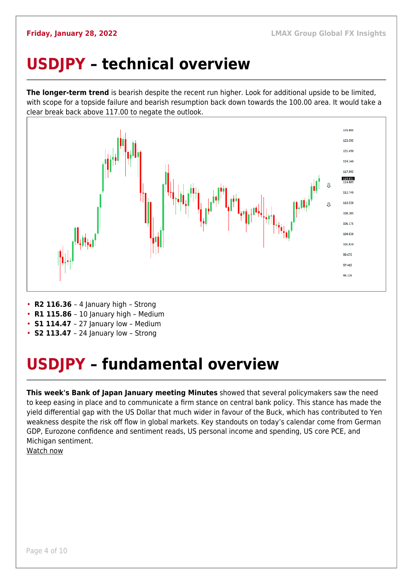## <span id="page-3-0"></span>**USDJPY – technical overview**

**The longer-term trend** is bearish despite the recent run higher. Look for additional upside to be limited, with scope for a topside failure and bearish resumption back down towards the 100.00 area. It would take a clear break back above 117.00 to negate the outlook.



- **R2 116.36**  4 January high Strong
- **R1 115.86**  10 January high Medium
- **S1 114.47** 27 January low Medium
- **S2 113.47**  24 January low Strong

## <span id="page-3-1"></span>**USDJPY – fundamental overview**

**This week's Bank of Japan January meeting Minutes** showed that several policymakers saw the need to keep easing in place and to communicate a firm stance on central bank policy. This stance has made the yield differential gap with the US Dollar that much wider in favour of the Buck, which has contributed to Yen weakness despite the risk off flow in global markets. Key standouts on today's calendar come from German GDP, Eurozone confidence and sentiment reads, US personal income and spending, US core PCE, and Michigan sentiment.

[Watch now](https://youtu.be/Oile_pDWY24)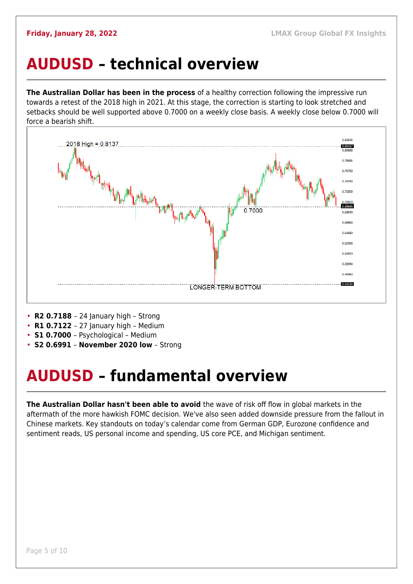### <span id="page-4-0"></span>**AUDUSD – technical overview**

**The Australian Dollar has been in the process** of a healthy correction following the impressive run towards a retest of the 2018 high in 2021. At this stage, the correction is starting to look stretched and setbacks should be well supported above 0.7000 on a weekly close basis. A weekly close below 0.7000 will force a bearish shift.



- **R2 0.7188**  24 January high Strong
- **R1 0.7122**  27 January high Medium
- **S1 0.7000**  Psychological Medium
- **S2 0.6991 November 2020 low** Strong

## <span id="page-4-1"></span>**AUDUSD – fundamental overview**

**The Australian Dollar hasn't been able to avoid** the wave of risk off flow in global markets in the aftermath of the more hawkish FOMC decision. We've also seen added downside pressure from the fallout in Chinese markets. Key standouts on today's calendar come from German GDP, Eurozone confidence and sentiment reads, US personal income and spending, US core PCE, and Michigan sentiment.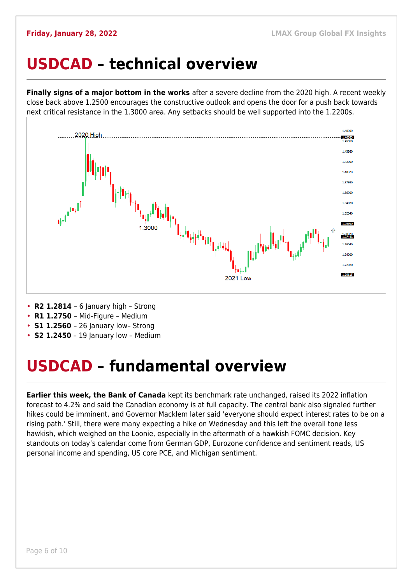#### <span id="page-5-0"></span>**USDCAD – technical overview**

**Finally signs of a major bottom in the works** after a severe decline from the 2020 high. A recent weekly close back above 1.2500 encourages the constructive outlook and opens the door for a push back towards next critical resistance in the 1.3000 area. Any setbacks should be well supported into the 1.2200s.



- **R2 1.2814**  6 January high Strong
- **R1 1.2750**  Mid-Figure Medium
- **S1 1.2560** 26 January low- Strong
- **S2 1.2450** 19 January low Medium

### <span id="page-5-1"></span>**USDCAD – fundamental overview**

**Earlier this week, the Bank of Canada** kept its benchmark rate unchanged, raised its 2022 inflation forecast to 4.2% and said the Canadian economy is at full capacity. The central bank also signaled further hikes could be imminent, and Governor Macklem later said 'everyone should expect interest rates to be on a rising path.' Still, there were many expecting a hike on Wednesday and this left the overall tone less hawkish, which weighed on the Loonie, especially in the aftermath of a hawkish FOMC decision. Key standouts on today's calendar come from German GDP, Eurozone confidence and sentiment reads, US personal income and spending, US core PCE, and Michigan sentiment.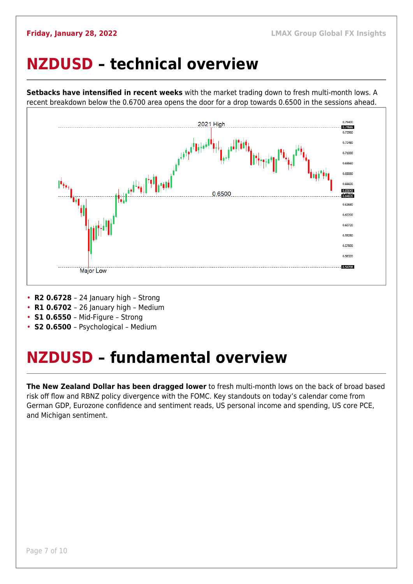### <span id="page-6-0"></span>**NZDUSD – technical overview**

**Setbacks have intensified in recent weeks** with the market trading down to fresh multi-month lows. A recent breakdown below the 0.6700 area opens the door for a drop towards 0.6500 in the sessions ahead.



- **R2 0.6728**  24 January high Strong
- **R1 0.6702**  26 January high Medium
- **S1 0.6550**  Mid-Figure Strong
- **S2 0.6500**  Psychological Medium

### <span id="page-6-1"></span>**NZDUSD – fundamental overview**

**The New Zealand Dollar has been dragged lower** to fresh multi-month lows on the back of broad based risk off flow and RBNZ policy divergence with the FOMC. Key standouts on today's calendar come from German GDP, Eurozone confidence and sentiment reads, US personal income and spending, US core PCE, and Michigan sentiment.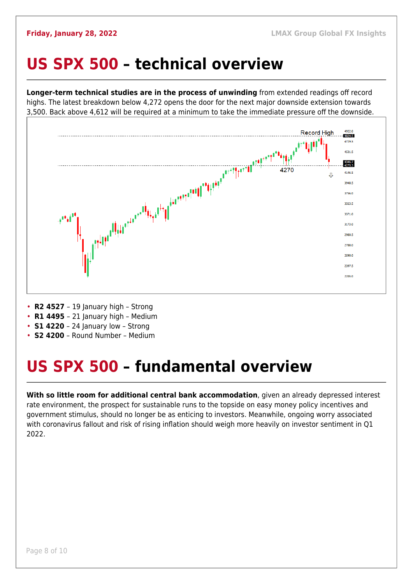#### <span id="page-7-0"></span>**US SPX 500 – technical overview**

**Longer-term technical studies are in the process of unwinding** from extended readings off record highs. The latest breakdown below 4,272 opens the door for the next major downside extension towards 3,500. Back above 4,612 will be required at a minimum to take the immediate pressure off the downside.



- **R2 4527**  19 January high Strong
- **R1 4495**  21 January high Medium
- **S1 4220**  24 January low Strong
- **S2 4200**  Round Number Medium

### <span id="page-7-1"></span>**US SPX 500 – fundamental overview**

**With so little room for additional central bank accommodation**, given an already depressed interest rate environment, the prospect for sustainable runs to the topside on easy money policy incentives and government stimulus, should no longer be as enticing to investors. Meanwhile, ongoing worry associated with coronavirus fallout and risk of rising inflation should weigh more heavily on investor sentiment in Q1 2022.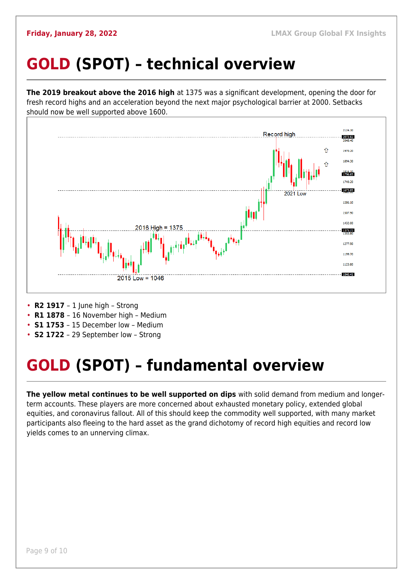## <span id="page-8-0"></span>**GOLD (SPOT) – technical overview**

**The 2019 breakout above the 2016 high** at 1375 was a significant development, opening the door for fresh record highs and an acceleration beyond the next major psychological barrier at 2000. Setbacks should now be well supported above 1600.



- **R2 1917**  1 June high Strong
- **R1 1878**  16 November high Medium
- **S1 1753**  15 December low Medium
- **S2 1722**  29 September low Strong

## <span id="page-8-1"></span>**GOLD (SPOT) – fundamental overview**

**The yellow metal continues to be well supported on dips** with solid demand from medium and longerterm accounts. These players are more concerned about exhausted monetary policy, extended global equities, and coronavirus fallout. All of this should keep the commodity well supported, with many market participants also fleeing to the hard asset as the grand dichotomy of record high equities and record low yields comes to an unnerving climax.